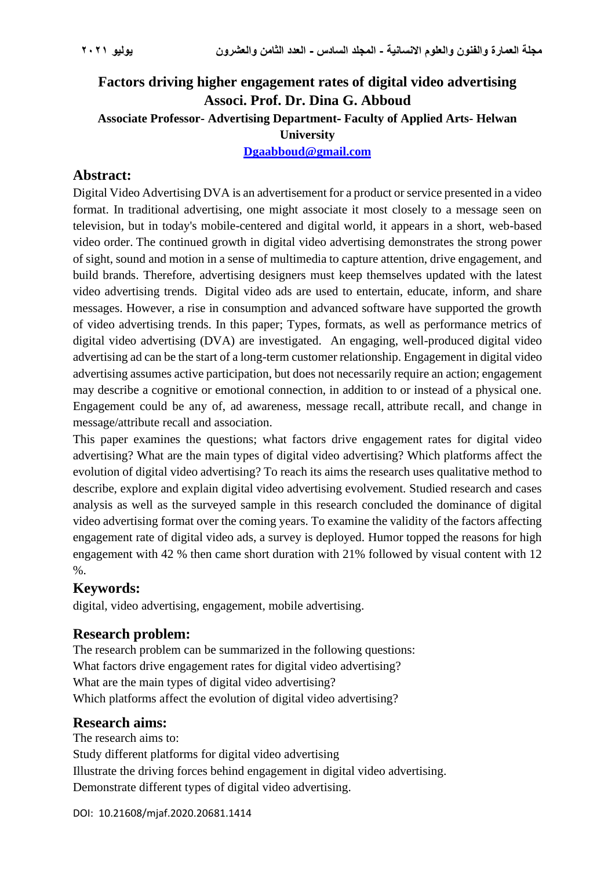# **Factors driving higher engagement rates of digital video advertising Associ. Prof. Dr. Dina G. Abboud Associate Professor- Advertising Department - Faculty of Applied Arts- Helwan University [Dgaabboud@gmail.com](mailto:Dgaabboud@gmail.com)**

# **Abstract:**

Digital Video Advertising DVA is an advertisement for a product or service presented in a video format. In traditional advertising, one might associate it most closely to a message seen on television, but in today's mobile-centered and digital world, it appears in a short, web-based video order. The continued growth in digital video advertising demonstrates the strong power of sight, sound and motion in a sense of multimedia to capture attention, drive engagement, and build brands. Therefore, advertising designers must keep themselves updated with the latest video advertising trends. Digital video ads are used to entertain, educate, inform, and share messages. However, a rise in consumption and advanced software have supported the growth of video advertising trends. In this paper; Types, formats, as well as performance metrics of digital video advertising (DVA) are investigated. An engaging, well-produced digital video advertising ad can be the start of a long-term customer relationship. Engagement in digital video advertising assumes active participation, but does not necessarily require an action; engagement may describe a cognitive or emotional connection, in addition to or instead of a physical one. Engagement could be any of, ad awareness, message recall, attribute recall, and change in message/attribute recall and association.

This paper examines the questions; what factors drive engagement rates for digital video advertising? What are the main types of digital video advertising? Which platforms affect the evolution of digital video advertising? To reach its aims the research uses qualitative method to describe, explore and explain digital video advertising evolvement. Studied research and cases analysis as well as the surveyed sample in this research concluded the dominance of digital video advertising format over the coming years. To examine the validity of the factors affecting engagement rate of digital video ads, a survey is deployed. Humor topped the reasons for high engagement with 42 % then came short duration with 21% followed by visual content with 12 %.

# **Keywords:**

digital, video advertising, engagement, mobile advertising.

## **Research problem:**

The research problem can be summarized in the following questions: What factors drive engagement rates for digital video advertising? What are the main types of digital video advertising? Which platforms affect the evolution of digital video advertising?

#### **Research aims:**

The research aims to: Study different platforms for digital video advertising Illustrate the driving forces behind engagement in digital video advertising. Demonstrate different types of digital video advertising.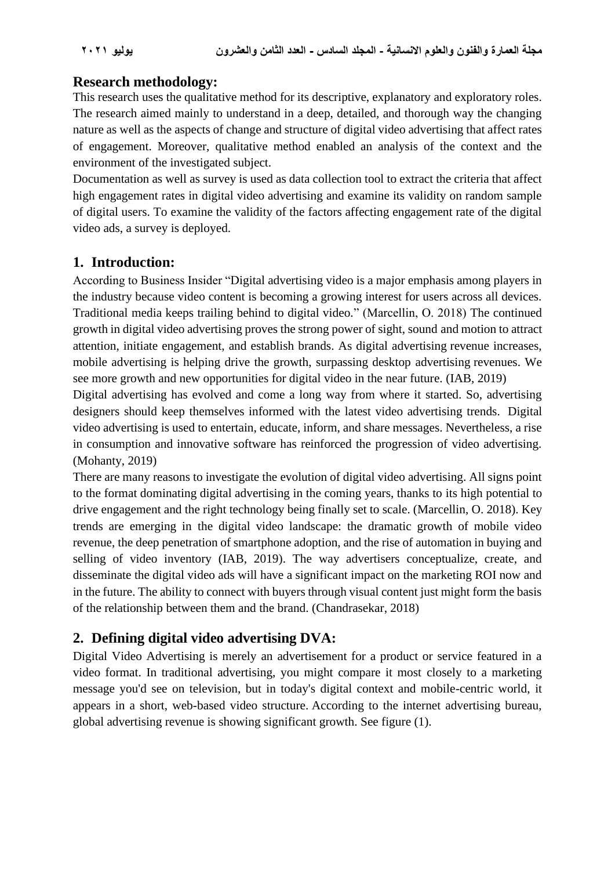# **Research methodology:**

This research uses the qualitative method for its descriptive, explanatory and exploratory roles. The research aimed mainly to understand in a deep, detailed, and thorough way the changing nature as well as the aspects of change and structure of digital video advertising that affect rates of engagement. Moreover, qualitative method enabled an analysis of the context and the environment of the investigated subject.

Documentation as well as survey is used as data collection tool to extract the criteria that affect high engagement rates in digital video advertising and examine its validity on random sample of digital users. To examine the validity of the factors affecting engagement rate of the digital video ads, a survey is deployed.

# **1. Introduction:**

According to Business Insider "Digital advertising video is a major emphasis among players in the industry because video content is becoming a growing interest for users across all devices. Traditional media keeps trailing behind to digital video." (Marcellin, O. 2018) The continued growth in digital video advertising proves the strong power of sight, sound and motion to attract attention, initiate engagement, and establish brands. As digital advertising revenue increases, mobile advertising is helping drive the growth, surpassing desktop advertising revenues. We see more growth and new opportunities for digital video in the near future. (IAB, 2019)

Digital advertising has evolved and come a long way from where it started. So, advertising designers should keep themselves informed with the latest video advertising trends. Digital video advertising is used to entertain, educate, inform, and share messages. Nevertheless, a rise in consumption and innovative software has reinforced the progression of video advertising. (Mohanty, 2019)

There are many reasons to investigate the evolution of digital video advertising. All signs point to the format dominating digital advertising in the coming years, thanks to its high potential to drive engagement and the right technology being finally set to scale. (Marcellin, O. 2018). Key trends are emerging in the digital video landscape: the dramatic growth of mobile video revenue, the deep penetration of smartphone adoption, and the rise of automation in buying and selling of video inventory (IAB, 2019). The way advertisers conceptualize, create, and disseminate the digital video ads will have a significant impact on the marketing ROI now and in the future. The ability to connect with buyers through visual content just might form the basis of the relationship between them and the brand. (Chandrasekar, 2018)

# **2. Defining digital video advertising DVA:**

Digital Video Advertising is merely an advertisement for a product or service featured in a video format. In traditional advertising, you might compare it most closely to a marketing message you'd see on television, but in today's digital context and mobile-centric world, it appears in a short, web-based video structure. According to the internet advertising bureau, global advertising revenue is showing significant growth. See figure (1).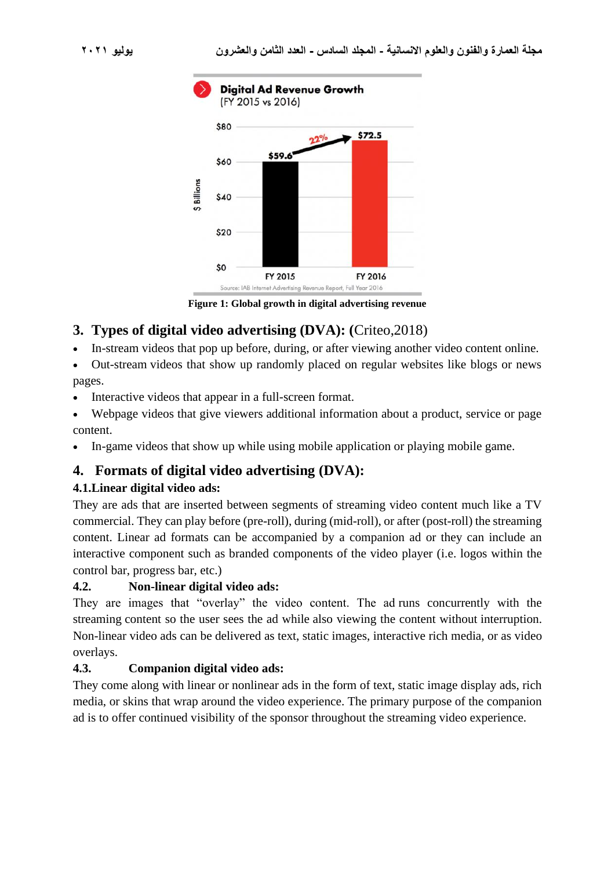

**Figure 1: Global growth in digital advertising revenue**

# **3. Types of digital video advertising (DVA): (**Criteo,2018)

• In-stream videos that pop up before, during, or after viewing another video content online.

• Out-stream videos that show up randomly placed on regular websites like blogs or news pages.

- Interactive videos that appear in a full-screen format.
- Webpage videos that give viewers additional information about a product, service or page content.
- In-game videos that show up while using mobile application or playing mobile game.

# **4. Formats of digital video advertising (DVA):**

## **4.1.Linear digital video ads:**

They are ads that are inserted between segments of streaming video content much like a TV commercial. They can play before (pre-roll), during (mid-roll), or after (post-roll) the streaming content. Linear ad formats can be accompanied by a companion ad or they can include an interactive component such as branded components of the video player (i.e. logos within the control bar, progress bar, etc.)

## **4.2. Non-linear digital video ads:**

They are images that "overlay" the video content. The ad runs concurrently with the streaming content so the user sees the ad while also viewing the content without interruption. Non-linear video ads can be delivered as text, static images, interactive rich media, or as video overlays.

## **4.3. Companion digital video ads:**

They come along with linear or nonlinear ads in the form of text, static image display ads, rich media, or skins that wrap around the video experience. The primary purpose of the companion ad is to offer continued visibility of the sponsor throughout the streaming video experience.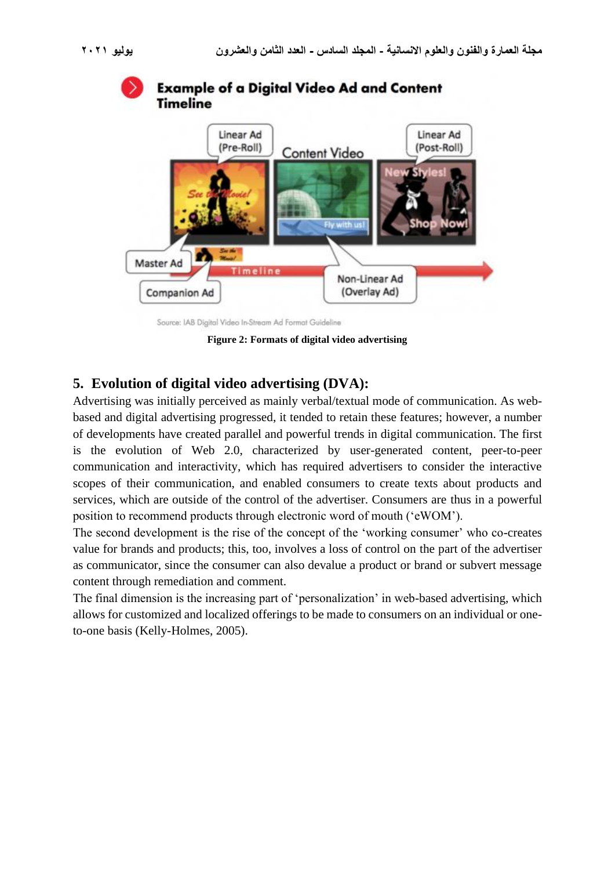

Source: IAB Digital Video In-Stream Ad Format Guideline

**Figure 2: Formats of digital video advertising**

# **5. Evolution of digital video advertising (DVA):**

Advertising was initially perceived as mainly verbal/textual mode of communication. As webbased and digital advertising progressed, it tended to retain these features; however, a number of developments have created parallel and powerful trends in digital communication. The first is the evolution of Web 2.0, characterized by user-generated content, peer-to-peer communication and interactivity, which has required advertisers to consider the interactive scopes of their communication, and enabled consumers to create texts about products and services, which are outside of the control of the advertiser. Consumers are thus in a powerful position to recommend products through electronic word of mouth ('eWOM').

The second development is the rise of the concept of the 'working consumer' who co-creates value for brands and products; this, too, involves a loss of control on the part of the advertiser as communicator, since the consumer can also devalue a product or brand or subvert message content through remediation and comment.

The final dimension is the increasing part of 'personalization' in web-based advertising, which allows for customized and localized offerings to be made to consumers on an individual or oneto-one basis (Kelly-Holmes, 2005).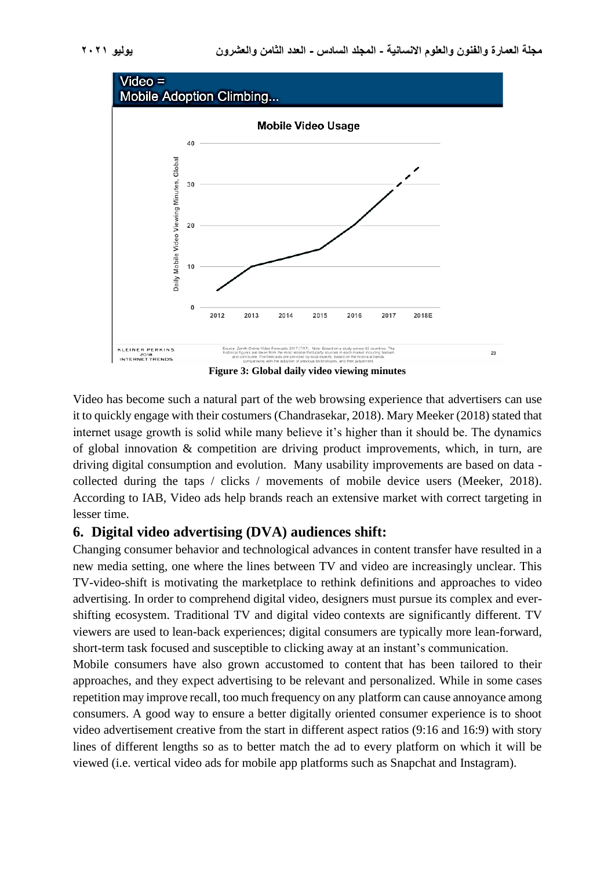

Video has become such a natural part of the web browsing experience that advertisers can use it to quickly engage with their costumers (Chandrasekar, 2018). Mary Meeker (2018) stated that internet usage growth is solid while many believe it's higher than it should be. The dynamics of global innovation & competition are driving product improvements, which, in turn, are driving digital consumption and evolution. Many usability improvements are based on data collected during the taps / clicks / movements of mobile device users (Meeker, 2018). According to IAB, Video ads help brands reach an extensive market with correct targeting in lesser time.

## **6. Digital video advertising (DVA) audiences shift:**

Changing consumer behavior and technological advances in content transfer have resulted in a new media setting, one where the lines between TV and video are increasingly unclear. This TV-video-shift is motivating the marketplace to rethink definitions and approaches to video advertising. In order to comprehend digital video, designers must pursue its complex and evershifting ecosystem. Traditional TV and digital video contexts are significantly different. TV viewers are used to lean-back experiences; digital consumers are typically more lean-forward, short-term task focused and susceptible to clicking away at an instant's communication.

Mobile consumers have also grown accustomed to content that has been tailored to their approaches, and they expect advertising to be relevant and personalized. While in some cases repetition may improve recall, too much frequency on any platform can cause annoyance among consumers. A good way to ensure a better digitally oriented consumer experience is to shoot video advertisement creative from the start in different aspect ratios (9:16 and 16:9) with story lines of different lengths so as to better match the ad to every platform on which it will be viewed (i.e. vertical video ads for mobile app platforms such as Snapchat and Instagram).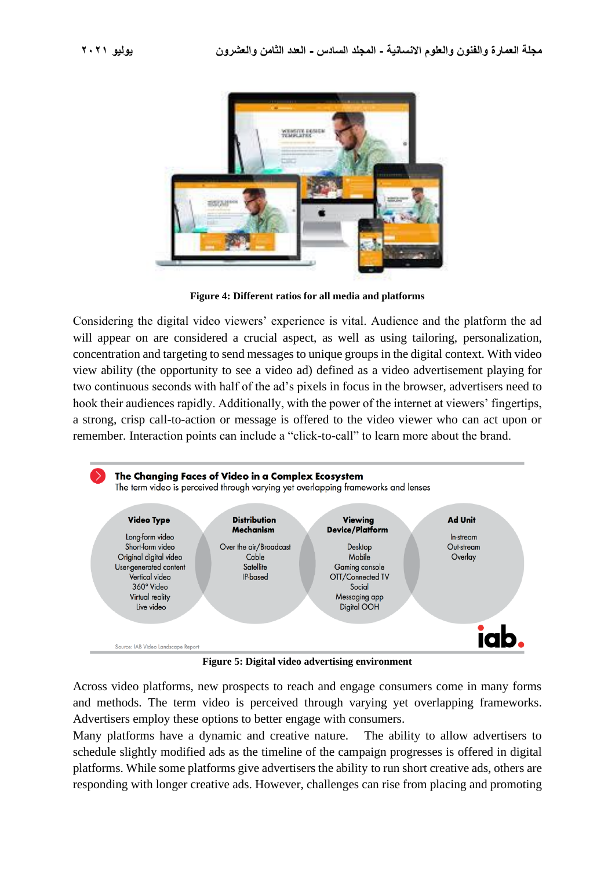

**Figure 4: Different ratios for all media and platforms**

Considering the digital video viewers' experience is vital. Audience and the platform the ad will appear on are considered a crucial aspect, as well as using tailoring, personalization, concentration and targeting to send messages to unique groups in the digital context. With video view ability (the opportunity to see a video ad) defined as a video advertisement playing for two continuous seconds with half of the ad's pixels in focus in the browser, advertisers need to hook their audiences rapidly. Additionally, with the power of the internet at viewers' fingertips, a strong, crisp call-to-action or message is offered to the video viewer who can act upon or remember. Interaction points can include a "click-to-call" to learn more about the brand.



**Figure 5: Digital video advertising environment**

Across video platforms, new prospects to reach and engage consumers come in many forms and methods. The term video is perceived through varying yet overlapping frameworks. Advertisers employ these options to better engage with consumers.

Many platforms have a dynamic and creative nature. The ability to allow advertisers to schedule slightly modified ads as the timeline of the campaign progresses is offered in digital platforms. While some platforms give advertisers the ability to run short creative ads, others are responding with longer creative ads. However, challenges can rise from placing and promoting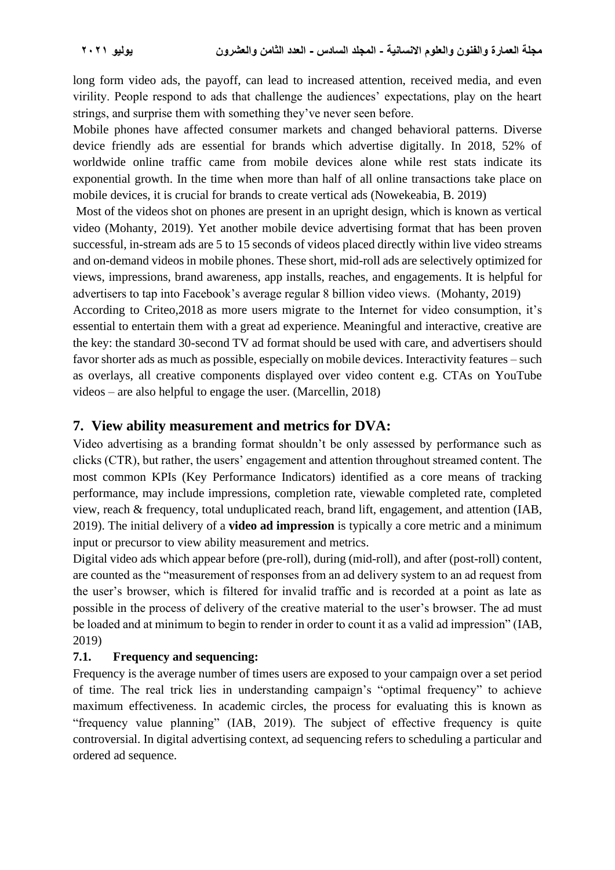long form video ads, the payoff, can lead to increased attention, received media, and even virility. People respond to ads that challenge the audiences' expectations, play on the heart strings, and surprise them with something they've never seen before.

Mobile phones have affected consumer markets and changed behavioral patterns. Diverse device friendly ads are essential for brands which advertise digitally. In 2018, 52% of worldwide online traffic came from mobile devices alone while rest stats indicate its exponential growth. In the time when more than half of all online transactions take place on mobile devices, it is crucial for brands to create vertical ads (Nowekeabia, B. 2019)

Most of the videos shot on phones are present in an upright design, which is known as vertical video (Mohanty, 2019). Yet another mobile device advertising format that has been proven successful, in-stream ads are 5 to 15 seconds of videos placed directly within live video streams and on-demand videos in mobile phones. These short, mid-roll ads are selectively optimized for views, impressions, brand awareness, app installs, reaches, and engagements. It is helpful for advertisers to tap into Facebook's average regular 8 billion video views. (Mohanty, 2019)

According to Criteo,2018 as more users migrate to the Internet for video consumption, it's essential to entertain them with a great ad experience. Meaningful and interactive, creative are the key: the standard 30-second TV ad format should be used with care, and advertisers should favor shorter ads as much as possible, especially on mobile devices. Interactivity features – such as overlays, all creative components displayed over video content e.g. CTAs on YouTube videos – are also helpful to engage the user. (Marcellin, 2018)

# **7. View ability measurement and metrics for DVA:**

Video advertising as a branding format shouldn't be only assessed by performance such as clicks (CTR), but rather, the users' engagement and attention throughout streamed content. The most common KPIs (Key Performance Indicators) identified as a core means of tracking performance, may include impressions, completion rate, viewable completed rate, completed view, reach & frequency, total unduplicated reach, brand lift, engagement, and attention (IAB, 2019). The initial delivery of a **video ad impression** is typically a core metric and a minimum input or precursor to view ability measurement and metrics.

Digital video ads which appear before (pre-roll), during (mid-roll), and after (post-roll) content, are counted as the "measurement of responses from an ad delivery system to an ad request from the user's browser, which is filtered for invalid traffic and is recorded at a point as late as possible in the process of delivery of the creative material to the user's browser. The ad must be loaded and at minimum to begin to render in order to count it as a valid ad impression" (IAB, 2019)

## **7.1. Frequency and sequencing:**

Frequency is the average number of times users are exposed to your campaign over a set period of time. The real trick lies in understanding campaign's "optimal frequency" to achieve maximum effectiveness. In academic circles, the process for evaluating this is known as "frequency value planning" (IAB, 2019). The subject of effective frequency is quite controversial. In digital advertising context, ad sequencing refers to scheduling a particular and ordered ad sequence.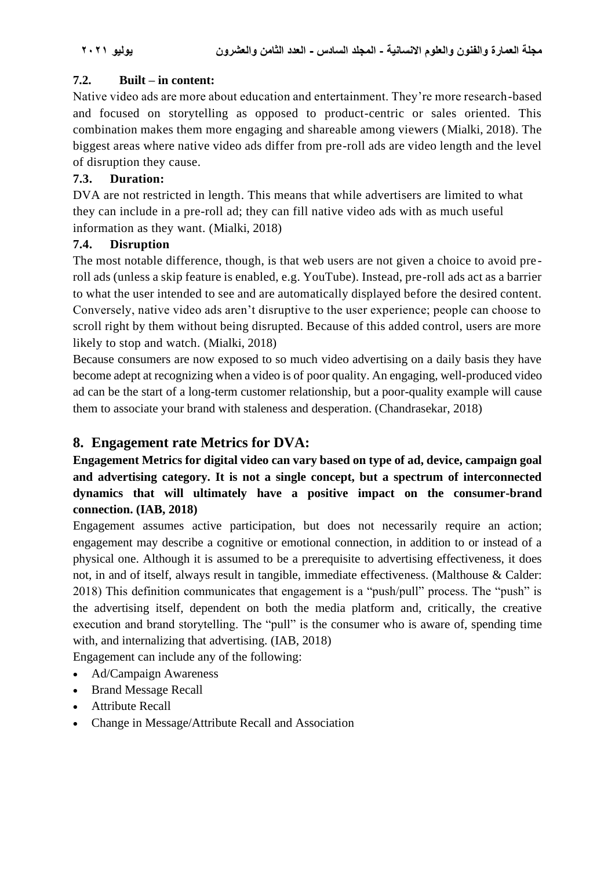#### **7.2. Built – in content:**

Native video ads are more about education and entertainment. They're more research-based and focused on storytelling as opposed to product-centric or sales oriented. This combination makes them more engaging and shareable among viewers (Mialki, 2018). The biggest areas where native video ads differ from pre-roll ads are video length and the level of disruption they cause.

## **7.3. Duration:**

DVA are not restricted in length. This means that while advertisers are limited to what they can include in a pre-roll ad; they can fill native video ads with as much useful information as they want. (Mialki, 2018)

#### **7.4. Disruption**

The most notable difference, though, is that web users are not given a choice to avoid pre roll ads (unless a skip feature is enabled, e.g. YouTube). Instead, pre-roll ads act as a barrier to what the user intended to see and are automatically displayed before the desired content. Conversely, native video ads aren't disruptive to the user experience; people can choose to scroll right by them without being disrupted. Because of this added control, users are more likely to stop and watch. (Mialki, 2018)

Because consumers are now exposed to so much video advertising on a daily basis they have become adept at recognizing when a video is of poor quality. An engaging, well-produced video ad can be the start of a long-term customer relationship, but a poor-quality example will cause them to associate your brand with staleness and desperation. (Chandrasekar, 2018)

# **8. Engagement rate Metrics for DVA:**

# **Engagement Metrics for digital video can vary based on type of ad, device, campaign goal and advertising category. It is not a single concept, but a spectrum of interconnected dynamics that will ultimately have a positive impact on the consumer-brand connection. (IAB, 2018)**

Engagement assumes active participation, but does not necessarily require an action; engagement may describe a cognitive or emotional connection, in addition to or instead of a physical one. Although it is assumed to be a prerequisite to advertising effectiveness, it does not, in and of itself, always result in tangible, immediate effectiveness. (Malthouse & Calder: 2018) This definition communicates that engagement is a "push/pull" process. The "push" is the advertising itself, dependent on both the media platform and, critically, the creative execution and brand storytelling. The "pull" is the consumer who is aware of, spending time with, and internalizing that advertising. (IAB, 2018)

Engagement can include any of the following:

- Ad/Campaign Awareness
- Brand Message Recall
- Attribute Recall
- Change in Message/Attribute Recall and Association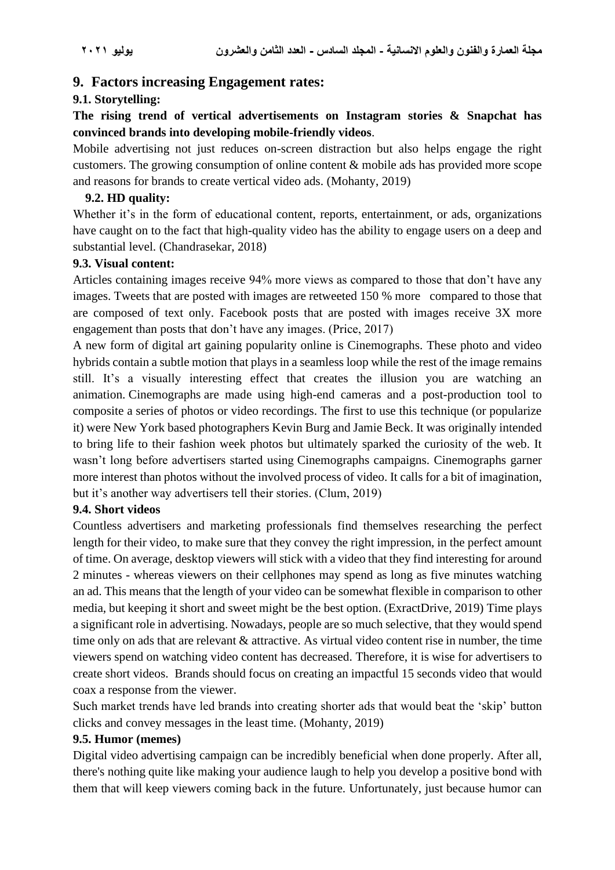#### **9. Factors increasing Engagement rates:**

#### **9.1. Storytelling:**

## **The rising trend of vertical advertisements on Instagram stories & Snapchat has convinced brands into developing mobile-friendly videos**.

Mobile advertising not just reduces on-screen distraction but also helps engage the right customers. The growing consumption of online content & mobile ads has provided more scope and reasons for brands to create vertical video ads. (Mohanty, 2019)

#### **9.2. HD quality:**

Whether it's in the form of educational content, reports, entertainment, or ads, organizations have caught on to the fact that high-quality video has the ability to engage users on a deep and substantial level. (Chandrasekar, 2018)

#### **9.3. Visual content:**

Articles containing images receive 94% more views as compared to those that don't have any images. Tweets that are posted with images are retweeted 150 % more compared to those that are composed of text only. Facebook posts that are posted with images receive 3X more engagement than posts that don't have any images. (Price, 2017)

A new form of digital art gaining popularity online is Cinemographs. These photo and video hybrids contain a subtle motion that plays in a seamless loop while the rest of the image remains still. It's a visually interesting effect that creates the illusion you are watching an animation. Cinemographs are made using high-end cameras and a post-production tool to composite a series of photos or video recordings. The first to use this technique (or popularize it) were New York based photographers Kevin Burg and Jamie Beck. It was originally intended to bring life to their fashion week photos but ultimately sparked the curiosity of the web. It wasn't long before advertisers started using Cinemographs campaigns. Cinemographs garner more interest than photos without the involved process of video. It calls for a bit of imagination, but it's another way advertisers tell their stories. (Clum, 2019)

#### **9.4. Short videos**

Countless advertisers and marketing professionals find themselves researching the perfect length for their video, to make sure that they convey the right impression, in the perfect amount of time. On average, desktop viewers will stick with a video that they find interesting for around 2 minutes - whereas viewers on their cellphones may spend as long as five minutes watching an ad. This means that the length of your video can be somewhat flexible in comparison to other media, but keeping it short and sweet might be the best option. (ExractDrive, 2019) Time plays a significant role in advertising. Nowadays, people are so much selective, that they would spend time only on ads that are relevant & attractive. As virtual video content rise in number, the time viewers spend on watching video content has decreased. Therefore, it is wise for advertisers to create short videos. Brands should focus on creating an impactful 15 seconds video that would coax a response from the viewer.

Such market trends have led brands into creating shorter ads that would beat the 'skip' button clicks and convey messages in the least time. (Mohanty, 2019)

#### **9.5. Humor (memes)**

Digital video advertising campaign can be incredibly beneficial when done properly. After all, there's nothing quite like making your audience laugh to help you develop a positive bond with them that will keep viewers coming back in the future. Unfortunately, just because humor can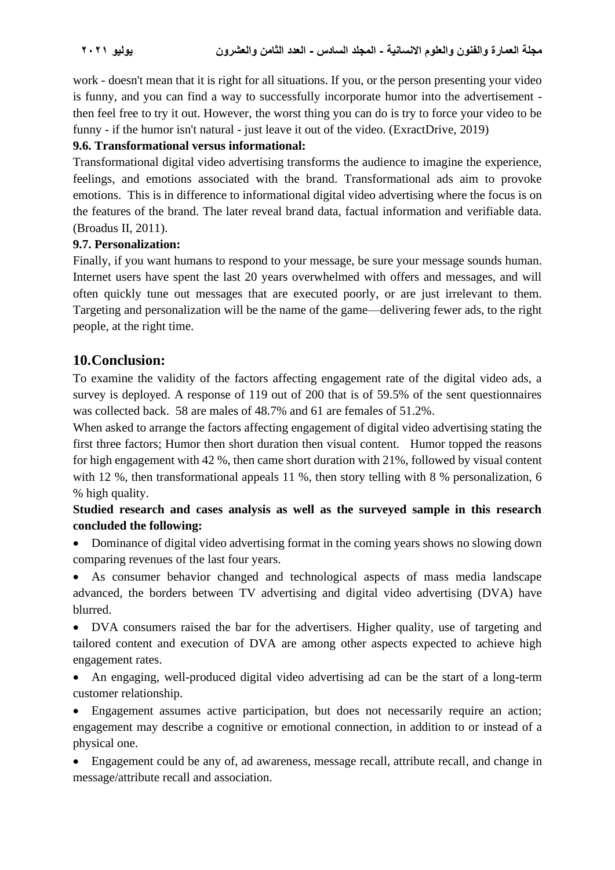work - doesn't mean that it is right for all situations. If you, or the person presenting your video is funny, and you can find a way to successfully incorporate humor into the advertisement then feel free to try it out. However, the worst thing you can do is try to force your video to be funny - if the humor isn't natural - just leave it out of the video. (ExractDrive, 2019)

## **9.6. Transformational versus informational:**

Transformational digital video advertising transforms the audience to imagine the experience, feelings, and emotions associated with the brand. Transformational ads aim to provoke emotions. This is in difference to informational digital video advertising where the focus is on the features of the brand. The later reveal brand data, factual information and verifiable data. (Broadus II, 2011).

## **9.7. Personalization:**

Finally, if you want humans to respond to your message, be sure your message sounds human. Internet users have spent the last 20 years overwhelmed with offers and messages, and will often quickly tune out messages that are executed poorly, or are just irrelevant to them. Targeting and personalization will be the name of the game—delivering fewer ads, to the right people, at the right time.

# **10.Conclusion:**

To examine the validity of the factors affecting engagement rate of the digital video ads, a survey is deployed. A response of 119 out of 200 that is of 59.5% of the sent questionnaires was collected back. 58 are males of 48.7% and 61 are females of 51.2%.

When asked to arrange the factors affecting engagement of digital video advertising stating the first three factors; Humor then short duration then visual content. Humor topped the reasons for high engagement with 42 %, then came short duration with 21%, followed by visual content with 12 %, then transformational appeals 11 %, then story telling with 8 % personalization, 6 % high quality.

# **Studied research and cases analysis as well as the surveyed sample in this research concluded the following:**

• Dominance of digital video advertising format in the coming years shows no slowing down comparing revenues of the last four years.

• As consumer behavior changed and technological aspects of mass media landscape advanced, the borders between TV advertising and digital video advertising (DVA) have blurred.

• DVA consumers raised the bar for the advertisers. Higher quality, use of targeting and tailored content and execution of DVA are among other aspects expected to achieve high engagement rates.

• An engaging, well-produced digital video advertising ad can be the start of a long-term customer relationship.

• Engagement assumes active participation, but does not necessarily require an action; engagement may describe a cognitive or emotional connection, in addition to or instead of a physical one.

• Engagement could be any of, ad awareness, message recall, attribute recall, and change in message/attribute recall and association.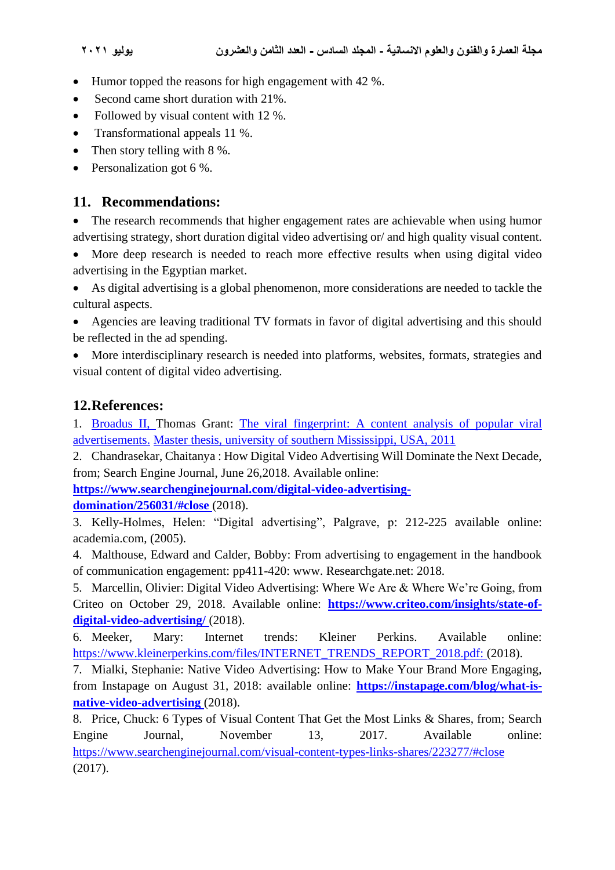- Humor topped the reasons for high engagement with 42 %.
- Second came short duration with 21%.
- Followed by visual content with 12 %.
- Transformational appeals 11 %.
- Then story telling with  $8\%$ .
- Personalization got 6 %.

# **11. Recommendations:**

The research recommends that higher engagement rates are achievable when using humor advertising strategy, short duration digital video advertising or/ and high quality visual content.

• More deep research is needed to reach more effective results when using digital video advertising in the Egyptian market.

• As digital advertising is a global phenomenon, more considerations are needed to tackle the cultural aspects.

• Agencies are leaving traditional TV formats in favor of digital advertising and this should be reflected in the ad spending.

• More interdisciplinary research is needed into platforms, websites, formats, strategies and visual content of digital video advertising.

# **12.References:**

1. Broadus II, Thomas Grant: The viral fingerprint: A content analysis of popular viral advertisements. Master thesis, university of southern Mississippi, USA, 2011

2. Chandrasekar, Chaitanya : How Digital Video Advertising Will Dominate the Next Decade, from; Search Engine Journal, June 26,2018. Available online:

**[https://www.searchenginejournal.com/digital-video-advertising-](https://www.searchenginejournal.com/digital-video-advertising-domination/256031/#close)**

**[domination/256031/#close](https://www.searchenginejournal.com/digital-video-advertising-domination/256031/#close)** (2018).

3. Kelly-Holmes, Helen: "Digital advertising", Palgrave, p: 212-225 available online: academia.com, (2005).

4. Malthouse, Edward and Calder, Bobby: From advertising to engagement in the handbook of communication engagement: pp411-420: www. Researchgate.net: 2018.

5. Marcellin, Olivier: Digital Video Advertising: Where We Are & Where We're Going, from Criteo on October 29, 2018. Available online: **[https://www.criteo.com/insights/state-of](https://www.criteo.com/insights/state-of-digital-video-advertising/)[digital-video-advertising/](https://www.criteo.com/insights/state-of-digital-video-advertising/)** (2018).

6. Meeker, Mary: Internet trends: Kleiner Perkins. Available online: [https://www.kleinerperkins.com/files/INTERNET\\_TRENDS\\_REPORT\\_2018.pdf:](https://www.kleinerperkins.com/files/INTERNET_TRENDS_REPORT_2018.pdf) (2018).

7. Mialki, Stephanie: Native Video Advertising: How to Make Your Brand More Engaging, from Instapage on August 31, 2018: available online: **[https://instapage.com/blog/what-is](https://instapage.com/blog/what-is-native-video-advertising)[native-video-advertising](https://instapage.com/blog/what-is-native-video-advertising)** (2018).

8. Price, Chuck: 6 Types of Visual Content That Get the Most Links & Shares, from; Search Engine Journal, November 13, 2017. Available online: <https://www.searchenginejournal.com/visual-content-types-links-shares/223277/#close> (2017).